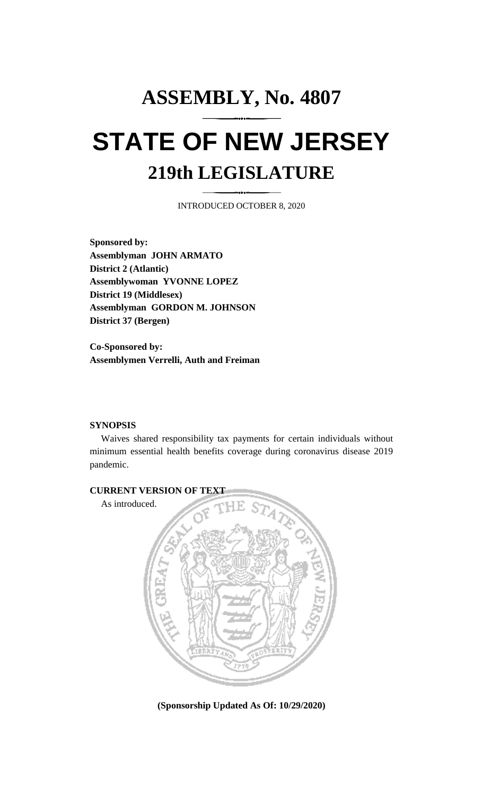## **ASSEMBLY, No. 4807 STATE OF NEW JERSEY 219th LEGISLATURE**

INTRODUCED OCTOBER 8, 2020

**Sponsored by: Assemblyman JOHN ARMATO District 2 (Atlantic) Assemblywoman YVONNE LOPEZ District 19 (Middlesex) Assemblyman GORDON M. JOHNSON District 37 (Bergen)**

**Co-Sponsored by: Assemblymen Verrelli, Auth and Freiman**

## **SYNOPSIS**

Waives shared responsibility tax payments for certain individuals without minimum essential health benefits coverage during coronavirus disease 2019 pandemic.



**(Sponsorship Updated As Of: 10/29/2020)**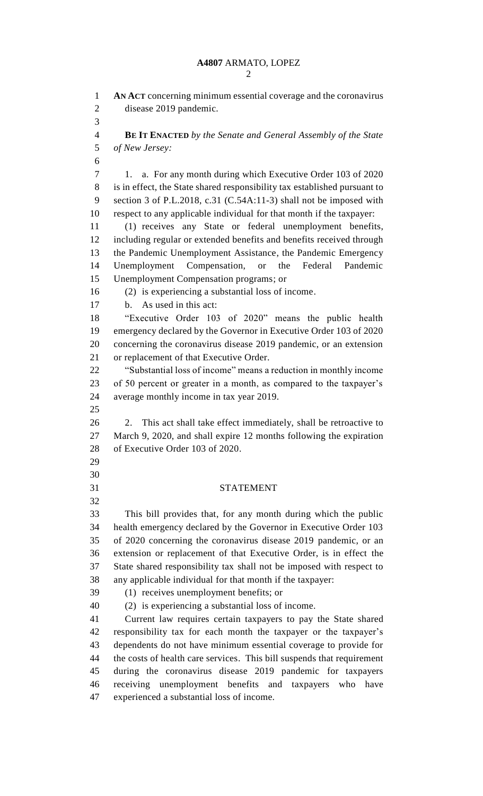**AN ACT** concerning minimum essential coverage and the coronavirus disease 2019 pandemic. **BE IT ENACTED** *by the Senate and General Assembly of the State of New Jersey:* 7 1. a. For any month during which Executive Order 103 of 2020 is in effect, the State shared responsibility tax established pursuant to section 3 of P.L.2018, c.31 (C.54A:11-3) shall not be imposed with respect to any applicable individual for that month if the taxpayer: (1) receives any State or federal unemployment benefits, including regular or extended benefits and benefits received through the Pandemic Unemployment Assistance, the Pandemic Emergency Unemployment Compensation, or the Federal Pandemic Unemployment Compensation programs; or (2) is experiencing a substantial loss of income. b. As used in this act: "Executive Order 103 of 2020" means the public health emergency declared by the Governor in Executive Order 103 of 2020 concerning the coronavirus disease 2019 pandemic, or an extension or replacement of that Executive Order. "Substantial loss of income" means a reduction in monthly income of 50 percent or greater in a month, as compared to the taxpayer's average monthly income in tax year 2019. 26 2. This act shall take effect immediately, shall be retroactive to March 9, 2020, and shall expire 12 months following the expiration of Executive Order 103 of 2020. STATEMENT This bill provides that, for any month during which the public health emergency declared by the Governor in Executive Order 103 of 2020 concerning the coronavirus disease 2019 pandemic, or an extension or replacement of that Executive Order, is in effect the State shared responsibility tax shall not be imposed with respect to any applicable individual for that month if the taxpayer: (1) receives unemployment benefits; or (2) is experiencing a substantial loss of income. Current law requires certain taxpayers to pay the State shared responsibility tax for each month the taxpayer or the taxpayer's dependents do not have minimum essential coverage to provide for the costs of health care services. This bill suspends that requirement during the coronavirus disease 2019 pandemic for taxpayers receiving unemployment benefits and taxpayers who have experienced a substantial loss of income.